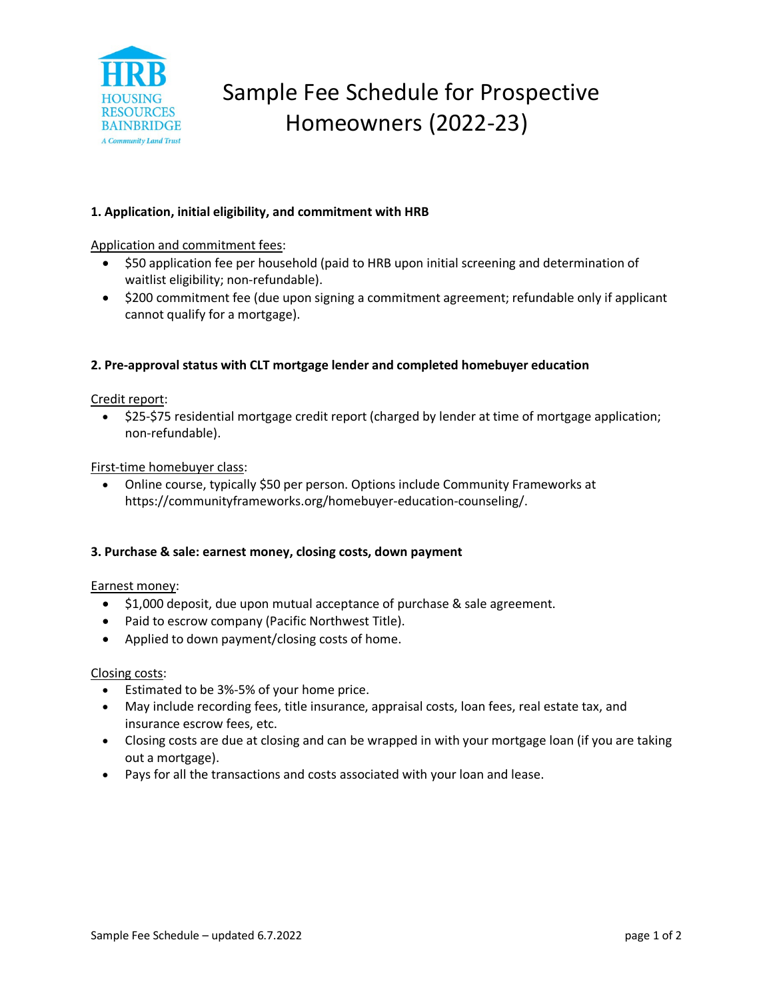

# Sample Fee Schedule for Prospective Homeowners (2022-23)

# **1. Application, initial eligibility, and commitment with HRB**

Application and commitment fees:

- \$50 application fee per household (paid to HRB upon initial screening and determination of waitlist eligibility; non-refundable).
- \$200 commitment fee (due upon signing a commitment agreement; refundable only if applicant cannot qualify for a mortgage).

## **2. Pre-approval status with CLT mortgage lender and completed homebuyer education**

Credit report:

• \$25-\$75 residential mortgage credit report (charged by lender at time of mortgage application; non-refundable).

## First-time homebuyer class:

• Online course, typically \$50 per person. Options include Community Frameworks at https://communityframeworks.org/homebuyer-education-counseling/.

## **3. Purchase & sale: earnest money, closing costs, down payment**

Earnest money:

- \$1,000 deposit, due upon mutual acceptance of purchase & sale agreement.
- Paid to escrow company (Pacific Northwest Title).
- Applied to down payment/closing costs of home.

## Closing costs:

- Estimated to be 3%-5% of your home price.
- May include recording fees, title insurance, appraisal costs, loan fees, real estate tax, and insurance escrow fees, etc.
- Closing costs are due at closing and can be wrapped in with your mortgage loan (if you are taking out a mortgage).
- Pays for all the transactions and costs associated with your loan and lease.